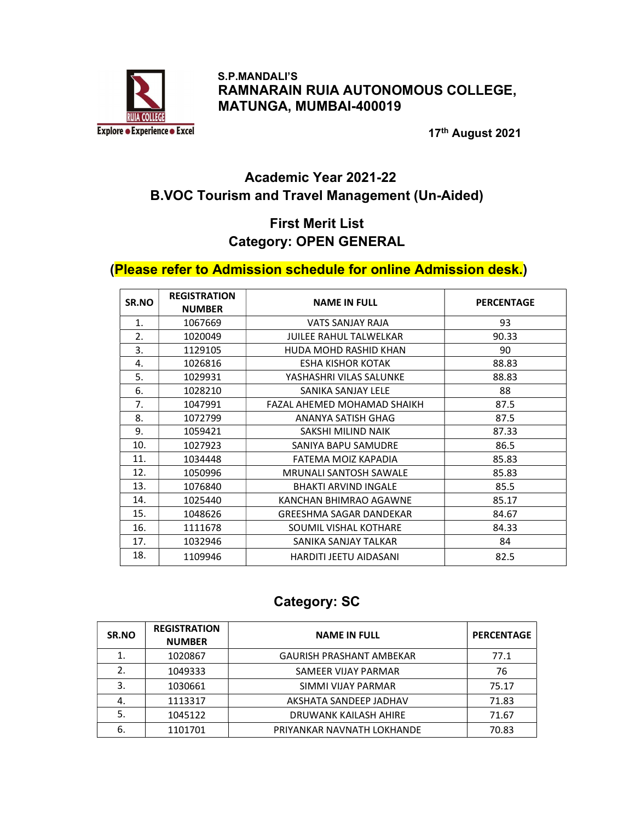

 S.P.MANDALI'S RAMNARAIN RUIA AUTONOMOUS COLLEGE, MATUNGA, MUMBAI-400019

17th August 2021

## Academic Year 2021-22 B.VOC Tourism and Travel Management (Un-Aided)

### First Merit List Category: OPEN GENERAL

#### (Please refer to Admission schedule for online Admission desk.)

| SR.NO | <b>REGISTRATION</b><br><b>NUMBER</b> | <b>NAME IN FULL</b>            | <b>PERCENTAGE</b> |
|-------|--------------------------------------|--------------------------------|-------------------|
| 1.    | 1067669                              | VATS SANJAY RAJA               | 93                |
| 2.    | 1020049                              | <b>JUILEE RAHUL TALWELKAR</b>  | 90.33             |
| 3.    | 1129105                              | HUDA MOHD RASHID KHAN          | 90                |
| 4.    | 1026816                              | <b>ESHA KISHOR KOTAK</b>       | 88.83             |
| 5.    | 1029931                              | YASHASHRI VILAS SALUNKE        | 88.83             |
| 6.    | 1028210                              | SANIKA SANJAY LELE             | 88                |
| 7.    | 1047991                              | FAZAL AHEMED MOHAMAD SHAIKH    | 87.5              |
| 8.    | 1072799                              | ANANYA SATISH GHAG             | 87.5              |
| 9.    | 1059421                              | SAKSHI MILIND NAIK             | 87.33             |
| 10.   | 1027923                              | SANIYA BAPU SAMUDRE            | 86.5              |
| 11.   | 1034448                              | FATEMA MOIZ KAPADIA            | 85.83             |
| 12.   | 1050996                              | <b>MRUNALI SANTOSH SAWALE</b>  | 85.83             |
| 13.   | 1076840                              | <b>BHAKTI ARVIND INGALE</b>    | 85.5              |
| 14.   | 1025440                              | KANCHAN BHIMRAO AGAWNE         | 85.17             |
| 15.   | 1048626                              | <b>GREESHMA SAGAR DANDEKAR</b> | 84.67             |
| 16.   | 1111678                              | SOUMIL VISHAL KOTHARE          | 84.33             |
| 17.   | 1032946                              | SANIKA SANJAY TALKAR           | 84                |
| 18.   | 1109946                              | HARDITI JEETU AIDASANI         | 82.5              |

### Category: SC

| SR.NO | <b>REGISTRATION</b><br><b>NUMBER</b> | <b>NAME IN FULL</b>             | <b>PERCENTAGE</b> |
|-------|--------------------------------------|---------------------------------|-------------------|
| 1.    | 1020867                              | <b>GAURISH PRASHANT AMBEKAR</b> | 77.1              |
| 2.    | 1049333                              | SAMEER VIJAY PARMAR             | 76                |
| 3.    | 1030661                              | SIMMI VIJAY PARMAR              | 75.17             |
| 4.    | 1113317                              | AKSHATA SANDEEP JADHAV          | 71.83             |
| 5.    | 1045122                              | DRUWANK KAILASH AHIRE           | 71.67             |
| 6.    | 1101701                              | PRIYANKAR NAVNATH LOKHANDE      | 70.83             |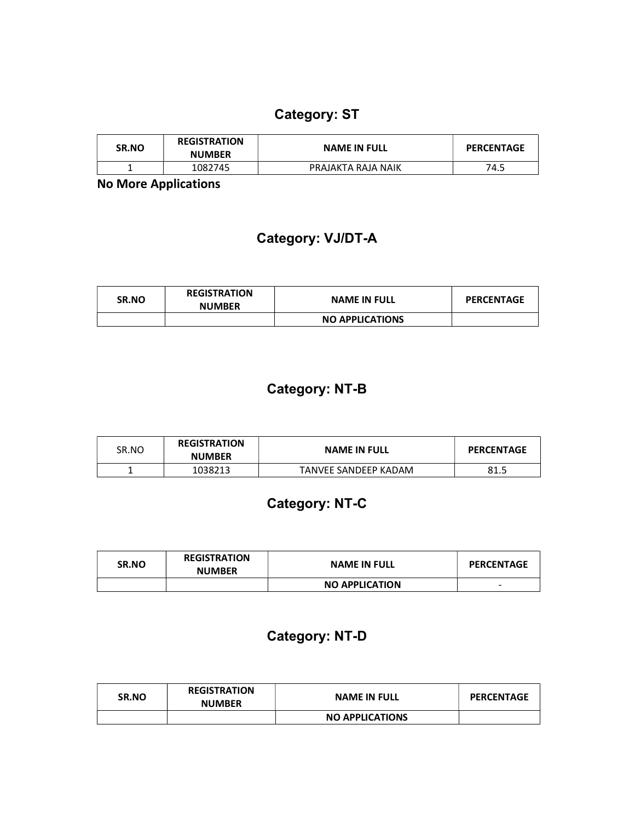## Category: ST

| <b>SR.NO</b> | <b>REGISTRATION</b><br><b>NUMBER</b> | <b>NAME IN FULL</b> | <b>PERCENTAGE</b> |
|--------------|--------------------------------------|---------------------|-------------------|
|              | 1082745                              | PRAJAKTA RAJA NAIK  | 74.5              |

No More Applications

## Category: VJ/DT-A

| <b>SR.NO</b> | <b>REGISTRATION</b><br><b>NUMBER</b> | <b>NAME IN FULL</b>    | <b>PERCENTAGE</b> |
|--------------|--------------------------------------|------------------------|-------------------|
|              |                                      | <b>NO APPLICATIONS</b> |                   |

## Category: NT-B

| SR.NO | <b>REGISTRATION</b><br><b>NUMBER</b> | <b>NAME IN FULL</b>  | <b>PERCENTAGE</b> |
|-------|--------------------------------------|----------------------|-------------------|
|       | 1038213                              | TANVEE SANDEEP KADAM | 81.5              |

# Category: NT-C

| SR.NO | <b>REGISTRATION</b><br><b>NUMBER</b> | <b>NAME IN FULL</b>   | <b>PERCENTAGE</b> |
|-------|--------------------------------------|-----------------------|-------------------|
|       |                                      | <b>NO APPLICATION</b> | -                 |

## Category: NT-D

| SR.NO | <b>REGISTRATION</b><br><b>NUMBER</b> | <b>NAME IN FULL</b>    | <b>PERCENTAGE</b> |
|-------|--------------------------------------|------------------------|-------------------|
|       |                                      | <b>NO APPLICATIONS</b> |                   |